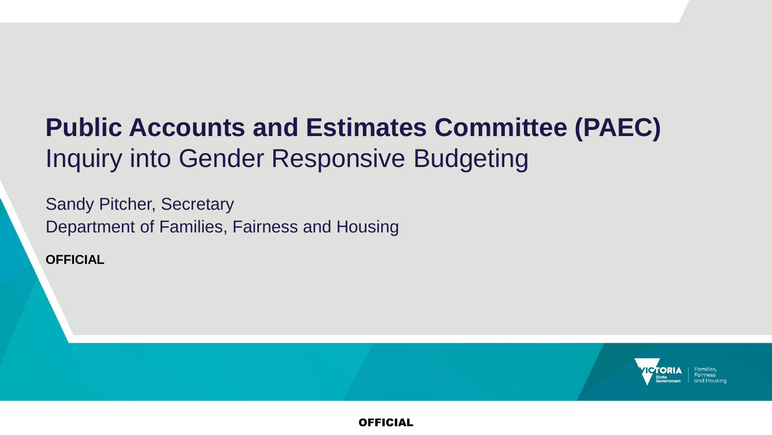## **Public Accounts and Estimates Committee (PAEC)** Inquiry into Gender Responsive Budgeting

Sandy Pitcher, Secretary Department of Families, Fairness and Housing

**OFFICIAL**

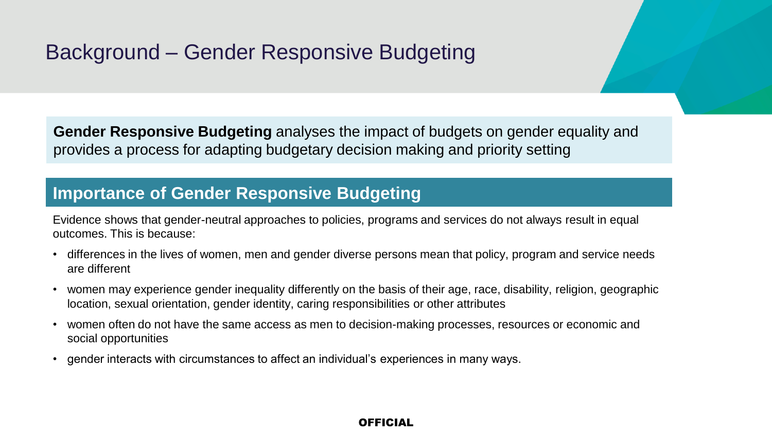## Background – Gender Responsive Budgeting

**Gender Responsive Budgeting** analyses the impact of budgets on gender equality and provides a process for adapting budgetary decision making and priority setting

### **Importance of Gender Responsive Budgeting**

Evidence shows that gender-neutral approaches to policies, programs and services do not always result in equal outcomes. This is because:

- differences in the lives of women, men and gender diverse persons mean that policy, program and service needs are different
- women may experience gender inequality differently on the basis of their age, race, disability, religion, geographic location, sexual orientation, gender identity, caring responsibilities or other attributes
- women often do not have the same access as men to decision-making processes, resources or economic and social opportunities
- gender interacts with circumstances to affect an individual's experiences in many ways.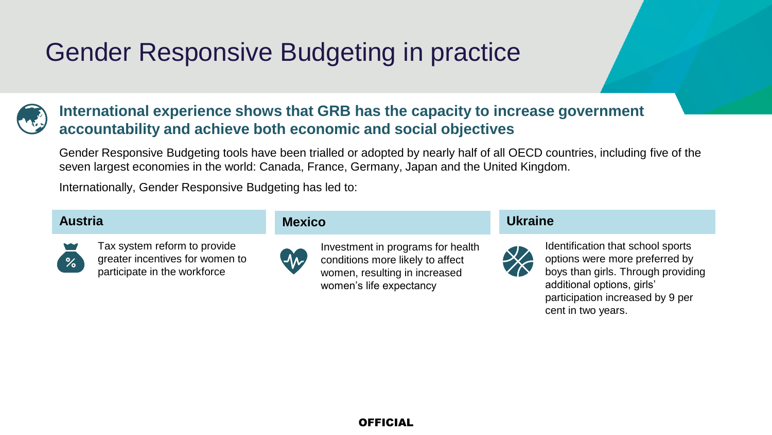## Gender Responsive Budgeting in practice



### **International experience shows that GRB has the capacity to increase government accountability and achieve both economic and social objectives**

Gender Responsive Budgeting tools have been trialled or adopted by nearly half of all OECD countries, including five of the seven largest economies in the world: Canada, France, Germany, Japan and the United Kingdom.

Internationally, Gender Responsive Budgeting has led to:

### **Austria**



Tax system reform to provide greater incentives for women to participate in the workforce

### **Mexico**



Investment in programs for health conditions more likely to affect women, resulting in increased women's life expectancy

### **Ukraine**



Identification that school sports options were more preferred by boys than girls. Through providing additional options, girls' participation increased by 9 per cent in two years.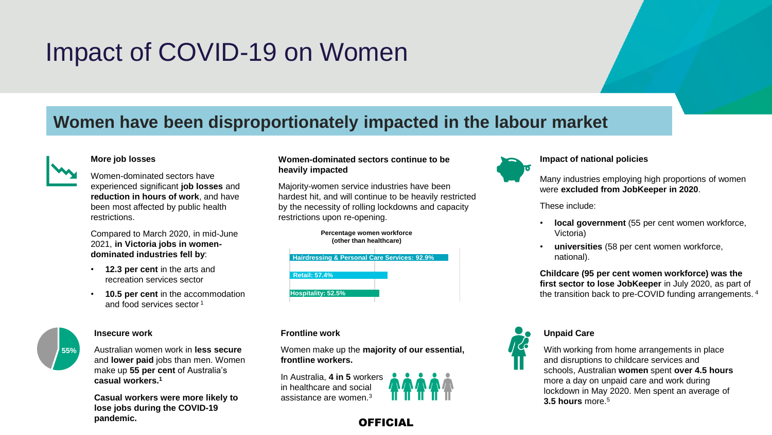## Impact of COVID-19 on Women

### **Women have been disproportionately impacted in the labour market**



#### **More job losses**

Women-dominated sectors have experienced significant **job losses** and **reduction in hours of work**, and have been most affected by public health restrictions.

Compared to March 2020, in mid-June 2021, **in Victoria jobs in womendominated industries fell by**:

- **12.3 per cent** in the arts and recreation services sector
- **10.5 per cent** in the accommodation and food services sector <sup>1</sup>



#### **Insecure work**

Australian women work in **less secure** and **lower paid** jobs than men. Women make up **55 per cent** of Australia's **casual workers.<sup>1</sup>**

**Casual workers were more likely to lose jobs during the COVID-19 pandemic.**

#### **Women-dominated sectors continue to be heavily impacted**

Majority-women service industries have been hardest hit, and will continue to be heavily restricted by the necessity of rolling lockdowns and capacity restrictions upon re-opening.



**Percentage women workforce**

#### **Frontline work**

Women make up the **majority of our essential, frontline workers.**

**OFFICIAL** 

In Australia, **4 in 5** workers in healthcare and social assistance are women 3





#### **Impact of national policies**

Many industries employing high proportions of women were **excluded from JobKeeper in 2020**.

These include:

- **local government** (55 per cent women workforce, Victoria)
- **universities** (58 per cent women workforce, national).

**Childcare (95 per cent women workforce) was the first sector to lose JobKeeper** in July 2020, as part of the transition back to pre-COVID funding arrangements. <sup>4</sup>



With working from home arrangements in place and disruptions to childcare services and schools, Australian **women** spent **over 4.5 hours**  more a day on unpaid care and work during lockdown in May 2020. Men spent an average of **3.5 hours** more.<sup>5</sup>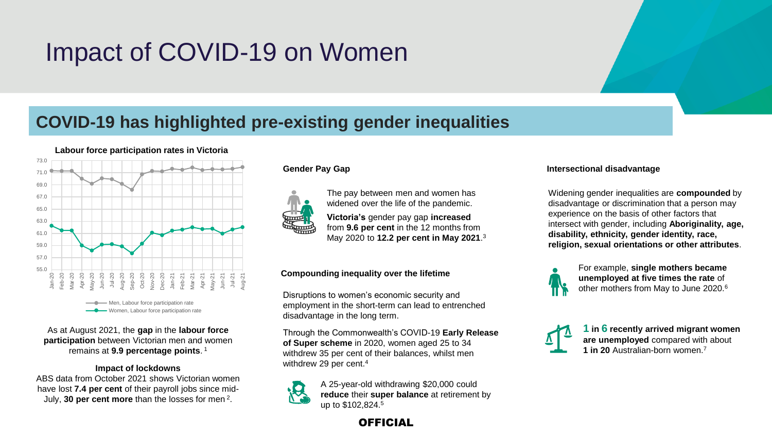## Impact of COVID-19 on Women

## **COVID-19 has highlighted pre-existing gender inequalities**



As at August 2021, the **gap** in the **labour force participation** between Victorian men and women remains at **9.9 percentage points**. 1

#### **Impact of lockdowns**

ABS data from October 2021 shows Victorian women have lost **7.4 per cent** of their payroll jobs since mid-July, **30 per cent more** than the losses for men <sup>2</sup> .



The pay between men and women has widened over the life of the pandemic.

**Victoria's** gender pay gap **increased** from **9.6 per cent** in the 12 months from May 2020 to **12.2 per cent in May 2021**. 3

#### **Compounding inequality over the lifetime**

Disruptions to women's economic security and employment in the short-term can lead to entrenched disadvantage in the long term.

Through the Commonwealth's COVID-19 **Early Release of Super scheme** in 2020, women aged 25 to 34 withdrew 35 per cent of their balances, whilst men withdrew 29 per cent.<sup>4</sup>



A 25-year-old withdrawing \$20,000 could **reduce** their **super balance** at retirement by up to \$102,824.5

**Gender Pay Gap Intersectional disadvantage** 

Widening gender inequalities are **compounded** by disadvantage or discrimination that a person may experience on the basis of other factors that intersect with gender, including **Aboriginality, age, disability, ethnicity, gender identity, race, religion, sexual orientations or other attributes**.



For example, **single mothers became unemployed at five times the rate** of other mothers from May to June 2020.<sup>6</sup>



**1 in 6 recently arrived migrant women are unemployed** compared with about **1 in 20** Australian-born women.<sup>7</sup>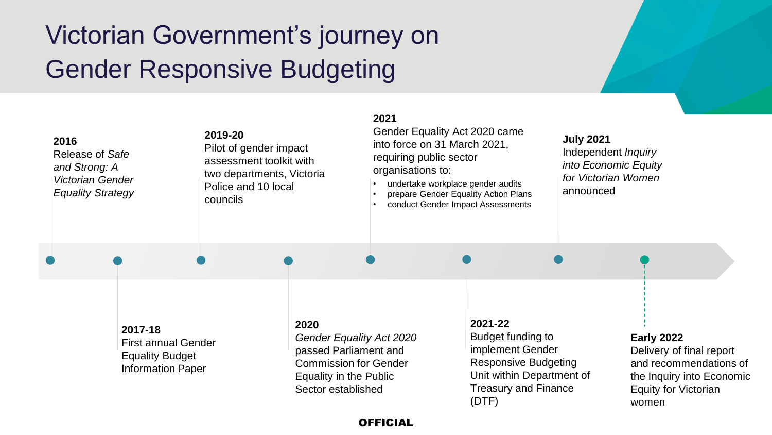## Victorian Government's journey on Gender Responsive Budgeting

| 2016<br>Release of Safe<br>and Strong: A<br>Victorian Gender<br><b>Equality Strategy</b> |                                                                                             | 2019-20<br>councils | Pilot of gender impact<br>assessment toolkit with<br>two departments, Victoria<br>Police and 10 local |                                                                                                             | 2021<br>Gender Equality Act 2020 came<br>into force on 31 March 2021,<br>requiring public sector<br>organisations to:<br>undertake workplace gender audits<br>prepare Gender Equality Action Plans<br>conduct Gender Impact Assessments |                                                                                                       | <b>July 2021</b><br>Independent Inquiry<br>into Economic Equity<br>for Victorian Women<br>announced |                                                                                                      |  |
|------------------------------------------------------------------------------------------|---------------------------------------------------------------------------------------------|---------------------|-------------------------------------------------------------------------------------------------------|-------------------------------------------------------------------------------------------------------------|-----------------------------------------------------------------------------------------------------------------------------------------------------------------------------------------------------------------------------------------|-------------------------------------------------------------------------------------------------------|-----------------------------------------------------------------------------------------------------|------------------------------------------------------------------------------------------------------|--|
|                                                                                          |                                                                                             |                     |                                                                                                       |                                                                                                             |                                                                                                                                                                                                                                         |                                                                                                       |                                                                                                     |                                                                                                      |  |
|                                                                                          | 2017-18<br><b>First annual Gender</b><br><b>Equality Budget</b><br><b>Information Paper</b> |                     | 2020                                                                                                  | Gender Equality Act 2020<br>passed Parliament and<br><b>Commission for Gender</b><br>Equality in the Public |                                                                                                                                                                                                                                         | 2021-22<br>Budget funding to<br>implement Gender<br>Responsive Budgeting<br>Unit within Department of |                                                                                                     | <b>Early 2022</b><br>Delivery of final report<br>and recommendations of<br>the Inquiry into Economic |  |

#### OFFICIAL

Treasury and Finance

Equity for Victorian

women

(DTF)

Sector established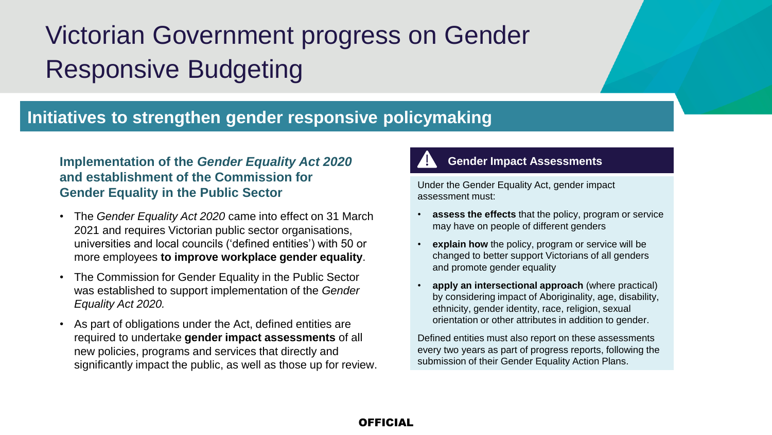# Victorian Government progress on Gender Responsive Budgeting

### **Initiatives to strengthen gender responsive policymaking**

### **Implementation of the** *Gender Equality Act 2020*  **and establishment of the Commission for Gender Equality in the Public Sector**

- The *Gender Equality Act 2020* came into effect on 31 March 2021 and requires Victorian public sector organisations, universities and local councils ('defined entities') with 50 or more employees **to improve workplace gender equality**.
- The Commission for Gender Equality in the Public Sector was established to support implementation of the *Gender Equality Act 2020.*
- As part of obligations under the Act, defined entities are required to undertake **gender impact assessments** of all new policies, programs and services that directly and significantly impact the public, as well as those up for review.

### **Gender Impact Assessments**

Under the Gender Equality Act, gender impact assessment must:

- **assess the effects** that the policy, program or service may have on people of different genders
- **explain how** the policy, program or service will be changed to better support Victorians of all genders and promote gender equality
- **apply an intersectional approach** (where practical) by considering impact of Aboriginality, age, disability, ethnicity, gender identity, race, religion, sexual orientation or other attributes in addition to gender.

Defined entities must also report on these assessments every two years as part of progress reports, following the submission of their Gender Equality Action Plans.